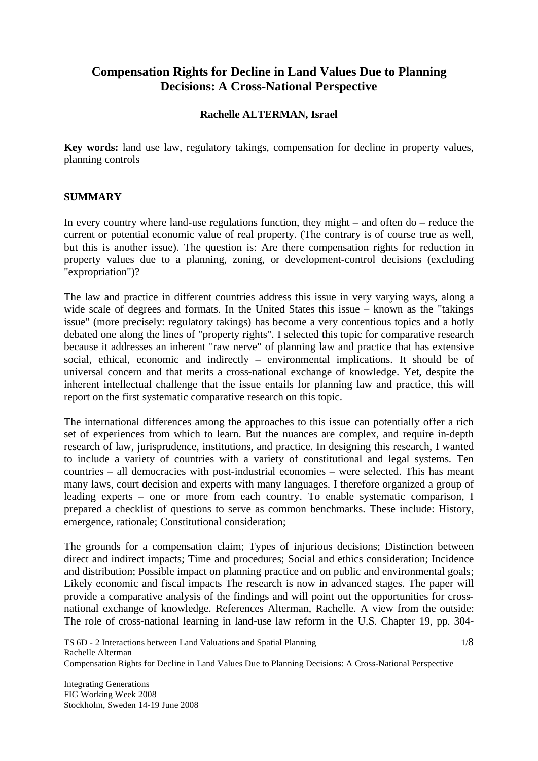# **Compensation Rights for Decline in Land Values Due to Planning Decisions: A Cross-National Perspective**

## **Rachelle ALTERMAN, Israel**

**Key words:** land use law, regulatory takings, compensation for decline in property values, planning controls

#### **SUMMARY**

In every country where land-use regulations function, they might – and often do – reduce the current or potential economic value of real property. (The contrary is of course true as well, but this is another issue). The question is: Are there compensation rights for reduction in property values due to a planning, zoning, or development-control decisions (excluding "expropriation")?

The law and practice in different countries address this issue in very varying ways, along a wide scale of degrees and formats. In the United States this issue – known as the "takings" issue" (more precisely: regulatory takings) has become a very contentious topics and a hotly debated one along the lines of "property rights". I selected this topic for comparative research because it addresses an inherent "raw nerve" of planning law and practice that has extensive social, ethical, economic and indirectly – environmental implications. It should be of universal concern and that merits a cross-national exchange of knowledge. Yet, despite the inherent intellectual challenge that the issue entails for planning law and practice, this will report on the first systematic comparative research on this topic.

The international differences among the approaches to this issue can potentially offer a rich set of experiences from which to learn. But the nuances are complex, and require in-depth research of law, jurisprudence, institutions, and practice. In designing this research, I wanted to include a variety of countries with a variety of constitutional and legal systems. Ten countries – all democracies with post-industrial economies – were selected. This has meant many laws, court decision and experts with many languages. I therefore organized a group of leading experts – one or more from each country. To enable systematic comparison, I prepared a checklist of questions to serve as common benchmarks. These include: History, emergence, rationale; Constitutional consideration;

The grounds for a compensation claim; Types of injurious decisions; Distinction between direct and indirect impacts; Time and procedures; Social and ethics consideration; Incidence and distribution; Possible impact on planning practice and on public and environmental goals; Likely economic and fiscal impacts The research is now in advanced stages. The paper will provide a comparative analysis of the findings and will point out the opportunities for crossnational exchange of knowledge. References Alterman, Rachelle. A view from the outside: The role of cross-national learning in land-use law reform in the U.S. Chapter 19, pp. 304-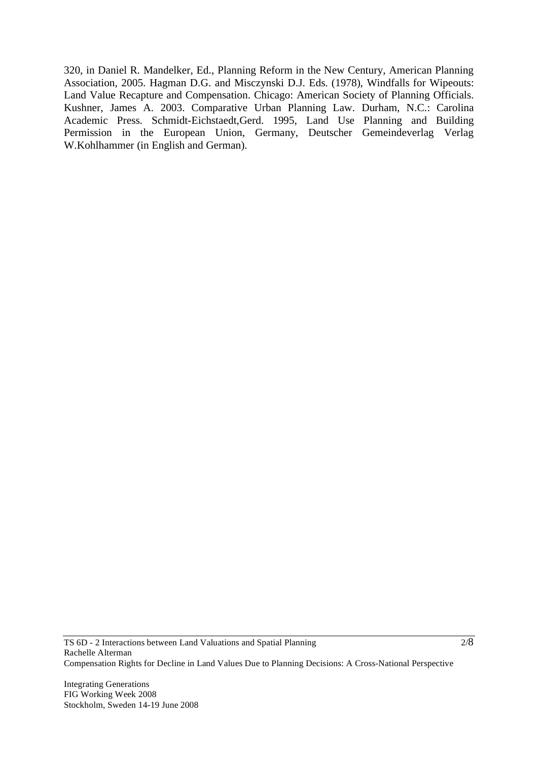320, in Daniel R. Mandelker, Ed., Planning Reform in the New Century, American Planning Association, 2005. Hagman D.G. and Misczynski D.J. Eds. (1978), Windfalls for Wipeouts: Land Value Recapture and Compensation. Chicago: American Society of Planning Officials. Kushner, James A. 2003. Comparative Urban Planning Law. Durham, N.C.: Carolina Academic Press. Schmidt-Eichstaedt,Gerd. 1995, Land Use Planning and Building Permission in the European Union, Germany, Deutscher Gemeindeverlag Verlag W.Kohlhammer (in English and German).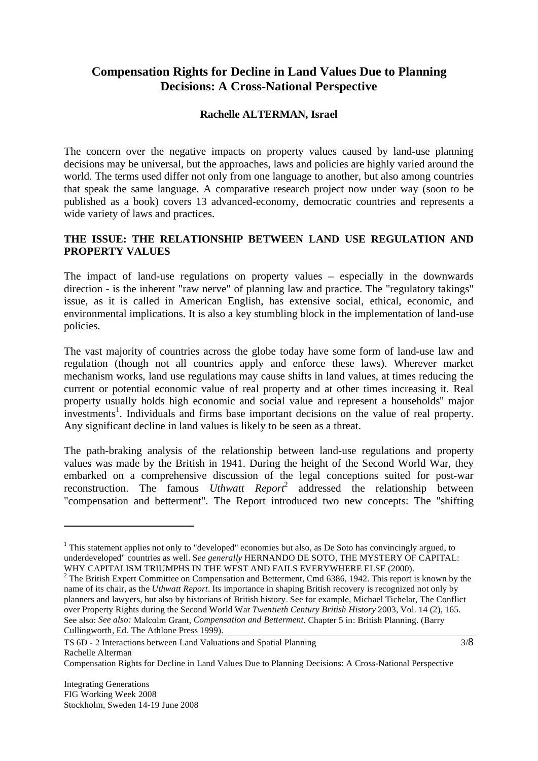# **Compensation Rights for Decline in Land Values Due to Planning Decisions: A Cross-National Perspective**

## **Rachelle ALTERMAN, Israel**

The concern over the negative impacts on property values caused by land-use planning decisions may be universal, but the approaches, laws and policies are highly varied around the world. The terms used differ not only from one language to another, but also among countries that speak the same language. A comparative research project now under way (soon to be published as a book) covers 13 advanced-economy, democratic countries and represents a wide variety of laws and practices.

## **THE ISSUE: THE RELATIONSHIP BETWEEN LAND USE REGULATION AND PROPERTY VALUES**

The impact of land-use regulations on property values – especially in the downwards direction - is the inherent "raw nerve" of planning law and practice. The "regulatory takings" issue, as it is called in American English, has extensive social, ethical, economic, and environmental implications. It is also a key stumbling block in the implementation of land-use policies.

The vast majority of countries across the globe today have some form of land-use law and regulation (though not all countries apply and enforce these laws). Wherever market mechanism works, land use regulations may cause shifts in land values, at times reducing the current or potential economic value of real property and at other times increasing it. Real property usually holds high economic and social value and represent a households'' major investments<sup>1</sup>. Individuals and firms base important decisions on the value of real property. Any significant decline in land values is likely to be seen as a threat.

The path-braking analysis of the relationship between land-use regulations and property values was made by the British in 1941. During the height of the Second World War, they embarked on a comprehensive discussion of the legal conceptions suited for post-war reconstruction. The famous *Uthwatt Report*<sup>2</sup> addressed the relationship between "compensation and betterment". The Report introduced two new concepts: The "shifting

 $\overline{a}$ 

 $1$  This statement applies not only to "developed" economies but also, as De Soto has convincingly argued, to underdeveloped" countries as well. S*ee generally* HERNANDO DE SOTO, THE MYSTERY OF CAPITAL: WHY CAPITALISM TRIUMPHS IN THE WEST AND FAILS EVERYWHERE ELSE (2000).

 $2$  The British Expert Committee on Compensation and Betterment, Cmd 6386, 1942. This report is known by the name of its chair, as the *Uthwatt Report*. Its importance in shaping British recovery is recognized not only by planners and lawyers, but also by historians of British history. See for example, Michael Tichelar, The Conflict over Property Rights during the Second World War *Twentieth Century British History* 2003, Vol. 14 (2), 165. See also: *See also:* Malcolm Grant, *Compensation and Betterment*. Chapter 5 in: British Planning. (Barry Cullingworth, Ed. The Athlone Press 1999).

Compensation Rights for Decline in Land Values Due to Planning Decisions: A Cross-National Perspective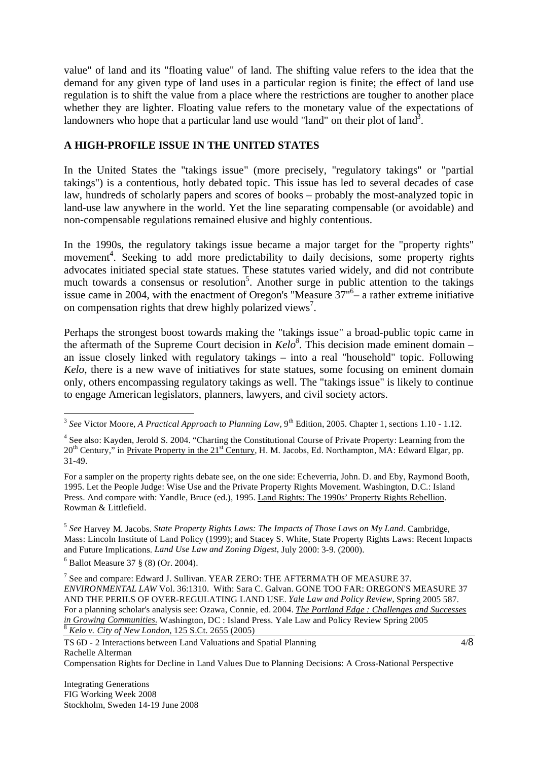value" of land and its "floating value" of land. The shifting value refers to the idea that the demand for any given type of land uses in a particular region is finite; the effect of land use regulation is to shift the value from a place where the restrictions are tougher to another place whether they are lighter. Floating value refers to the monetary value of the expectations of landowners who hope that a particular land use would "land" on their plot of land<sup>3</sup>.

## **A HIGH-PROFILE ISSUE IN THE UNITED STATES**

In the United States the "takings issue" (more precisely, "regulatory takings" or "partial takings") is a contentious, hotly debated topic. This issue has led to several decades of case law, hundreds of scholarly papers and scores of books – probably the most-analyzed topic in land-use law anywhere in the world. Yet the line separating compensable (or avoidable) and non-compensable regulations remained elusive and highly contentious.

In the 1990s, the regulatory takings issue became a major target for the "property rights" movement<sup>4</sup>. Seeking to add more predictability to daily decisions, some property rights advocates initiated special state statues. These statutes varied widely, and did not contribute much towards a consensus or resolution<sup>5</sup>. Another surge in public attention to the takings issue came in 2004, with the enactment of Oregon's "Measure  $37<sup>6</sup>$  a rather extreme initiative on compensation rights that drew highly polarized views<sup>7</sup>.

Perhaps the strongest boost towards making the "takings issue" a broad-public topic came in the aftermath of the Supreme Court decision in  $Kelo^8$ . This decision made eminent domain – an issue closely linked with regulatory takings – into a real "household" topic. Following *Kelo*, there is a new wave of initiatives for state statues, some focusing on eminent domain only, others encompassing regulatory takings as well. The "takings issue" is likely to continue to engage American legislators, planners, lawyers, and civil society actors.

For a sampler on the property rights debate see, on the one side: Echeverria, John. D. and Eby, Raymond Booth, 1995. Let the People Judge: Wise Use and the Private Property Rights Movement. Washington, D.C.: Island Press. And compare with: Yandle, Bruce (ed.), 1995. Land Rights: The 1990s' Property Rights Rebellion. Rowman & Littlefield.

<sup>5</sup> *See* Harvey M. Jacobs. *State Property Rights Laws: The Impacts of Those Laws on My Land.* Cambridge, Mass: Lincoln Institute of Land Policy (1999); and Stacey S. White, State Property Rights Laws: Recent Impacts and Future Implications. *Land Use Law and Zoning Digest,* July 2000: 3-9. (2000).

6 Ballot Measure 37 § (8) (Or. 2004).

 $\overline{a}$ 

 $^7$  See and compare: Edward J. Sullivan. YEAR ZERO: THE AFTERMATH OF MEASURE 37. *ENVIRONMENTAL LAW* Vol. 36:1310. With: Sara C. Galvan. GONE TOO FAR: OREGON'S MEASURE 37 AND THE PERILS OF OVER-REGULATING LAND USE. *Yale Law and Policy Review,* Spring 2005 587. For a planning scholar's analysis see: Ozawa, Connie, ed. 2004. *The Portland Edge : Challenges and Successes in Growing Communities.* Washington, DC : Island Press. Yale Law and Policy Review Spring 2005 *Review City of New London*, 125 S.Ct. 2655 (2005)

4/8

TS 6D - 2 Interactions between Land Valuations and Spatial Planning Rachelle Alterman Compensation Rights for Decline in Land Values Due to Planning Decisions: A Cross-National Perspective

Integrating Generations FIG Working Week 2008 Stockholm, Sweden 14-19 June 2008

<sup>&</sup>lt;sup>3</sup> See Victor Moore, *A Practical Approach to Planning Law*, 9<sup>th</sup> Edition, 2005. Chapter 1, sections 1.10 - 1.12.

<sup>&</sup>lt;sup>4</sup> See also: Kayden, Jerold S. 2004. "Charting the Constitutional Course of Private Property: Learning from the 20<sup>th</sup> Century," in Private Property in the 21<sup>st</sup> Century, H. M. Jacobs, Ed. Northampton, MA: Edward Elgar, pp. 31-49.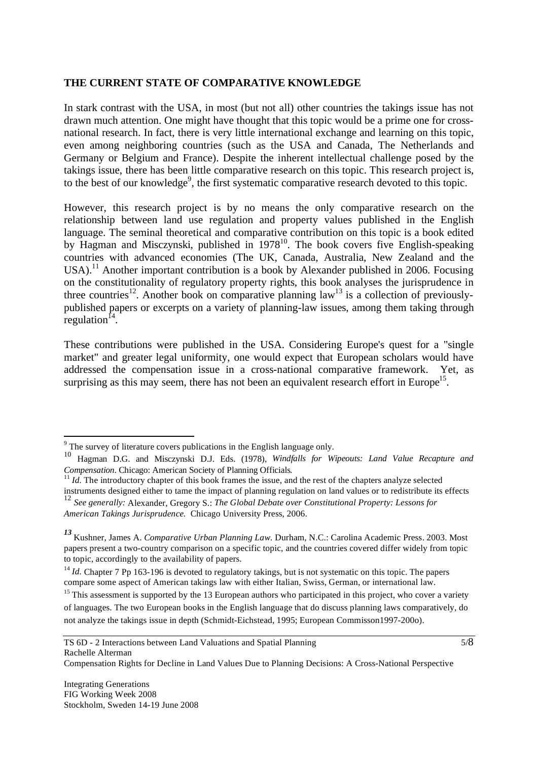#### **THE CURRENT STATE OF COMPARATIVE KNOWLEDGE**

In stark contrast with the USA, in most (but not all) other countries the takings issue has not drawn much attention. One might have thought that this topic would be a prime one for crossnational research. In fact, there is very little international exchange and learning on this topic, even among neighboring countries (such as the USA and Canada, The Netherlands and Germany or Belgium and France). Despite the inherent intellectual challenge posed by the takings issue, there has been little comparative research on this topic. This research project is, to the best of our knowledge<sup>9</sup>, the first systematic comparative research devoted to this topic.

However, this research project is by no means the only comparative research on the relationship between land use regulation and property values published in the English language. The seminal theoretical and comparative contribution on this topic is a book edited by Hagman and Misczynski, published in 1978<sup>10</sup>. The book covers five English-speaking countries with advanced economies (The UK, Canada, Australia, New Zealand and the USA).<sup>11</sup> Another important contribution is a book by Alexander published in 2006. Focusing on the constitutionality of regulatory property rights, this book analyses the jurisprudence in three countries<sup>12</sup>. Another book on comparative planning law<sup>13</sup> is a collection of previouslypublished papers or excerpts on a variety of planning-law issues, among them taking through regulation $14$ .

These contributions were published in the USA. Considering Europe's quest for a "single market" and greater legal uniformity, one would expect that European scholars would have addressed the compensation issue in a cross-national comparative framework. Yet, as surprising as this may seem, there has not been an equivalent research effort in Europe<sup>15</sup>.

<sup>&</sup>lt;sup>9</sup> The survey of literature covers publications in the English language only.

<sup>10</sup> Hagman D.G. and Misczynski D.J. Eds. (1978), *Windfalls for Wipeouts: Land Value Recapture and* 

*Compensation*. Chicago: American Society of Planning Officials.<br><sup>11</sup> *Id.* The introductory chapter of this book frames the issue, and the rest of the chapters analyze selected instruments designed either to tame the impact of planning regulation on land values or to redistribute its effects <sup>12</sup> *See generally:* Alexander, Gregory S.: *The Global Debate over Constitutional Property: Lessons for American Takings Jurisprudence.* Chicago University Press, 2006.

*<sup>13</sup>* Kushner, James A. *Comparative Urban Planning Law.* Durham, N.C.: Carolina Academic Press. 2003. Most papers present a two-country comparison on a specific topic, and the countries covered differ widely from topic to topic, accordingly to the availability of papers.

<sup>&</sup>lt;sup>14</sup> *Id.* Chapter 7 Pp 163-196 is devoted to regulatory takings, but is not systematic on this topic. The papers compare some aspect of American takings law with either Italian, Swiss, German, or international law.

 $15$  This assessment is supported by the 13 European authors who participated in this project, who cover a variety of languages. The two European books in the English language that do discuss planning laws comparatively, do not analyze the takings issue in depth (Schmidt-Eichstead, 1995; European Commisson1997-200o).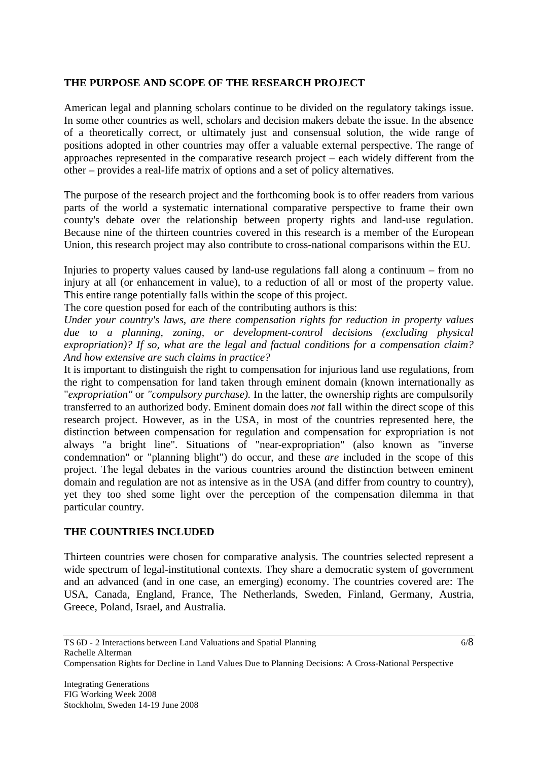## **THE PURPOSE AND SCOPE OF THE RESEARCH PROJECT**

American legal and planning scholars continue to be divided on the regulatory takings issue. In some other countries as well, scholars and decision makers debate the issue. In the absence of a theoretically correct, or ultimately just and consensual solution, the wide range of positions adopted in other countries may offer a valuable external perspective. The range of approaches represented in the comparative research project – each widely different from the other – provides a real-life matrix of options and a set of policy alternatives.

The purpose of the research project and the forthcoming book is to offer readers from various parts of the world a systematic international comparative perspective to frame their own county's debate over the relationship between property rights and land-use regulation. Because nine of the thirteen countries covered in this research is a member of the European Union, this research project may also contribute to cross-national comparisons within the EU.

Injuries to property values caused by land-use regulations fall along a continuum – from no injury at all (or enhancement in value), to a reduction of all or most of the property value. This entire range potentially falls within the scope of this project.

The core question posed for each of the contributing authors is this:

*Under your country's laws, are there compensation rights for reduction in property values due to a planning, zoning, or development-control decisions (excluding physical expropriation)? If so, what are the legal and factual conditions for a compensation claim? And how extensive are such claims in practice?* 

It is important to distinguish the right to compensation for injurious land use regulations, from the right to compensation for land taken through eminent domain (known internationally as "*expropriation"* or *"compulsory purchase).* In the latter, the ownership rights are compulsorily transferred to an authorized body. Eminent domain does *not* fall within the direct scope of this research project. However, as in the USA, in most of the countries represented here, the distinction between compensation for regulation and compensation for expropriation is not always "a bright line". Situations of "near-expropriation" (also known as "inverse condemnation" or "planning blight") do occur, and these *are* included in the scope of this project. The legal debates in the various countries around the distinction between eminent domain and regulation are not as intensive as in the USA (and differ from country to country), yet they too shed some light over the perception of the compensation dilemma in that particular country.

## **THE COUNTRIES INCLUDED**

Thirteen countries were chosen for comparative analysis. The countries selected represent a wide spectrum of legal-institutional contexts. They share a democratic system of government and an advanced (and in one case, an emerging) economy. The countries covered are: The USA, Canada, England, France, The Netherlands, Sweden, Finland, Germany, Austria, Greece, Poland, Israel, and Australia.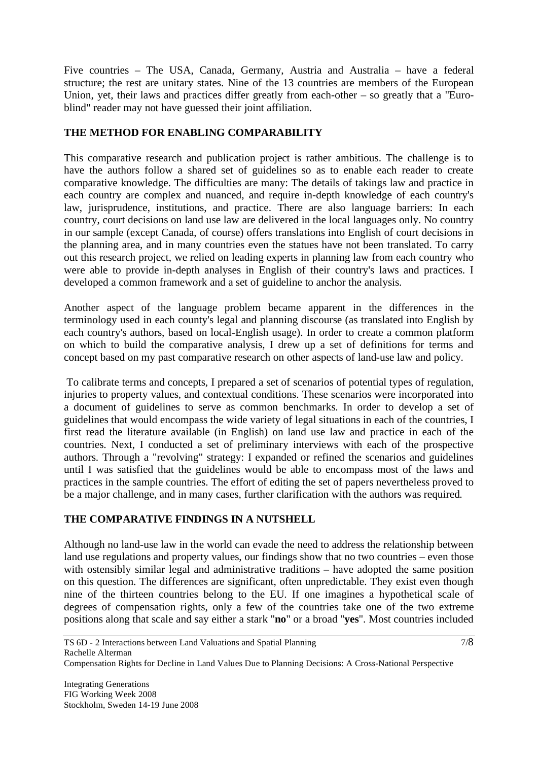Five countries – The USA, Canada, Germany, Austria and Australia – have a federal structure; the rest are unitary states. Nine of the 13 countries are members of the European Union, yet, their laws and practices differ greatly from each-other – so greatly that a "Euroblind" reader may not have guessed their joint affiliation.

## **THE METHOD FOR ENABLING COMPARABILITY**

This comparative research and publication project is rather ambitious. The challenge is to have the authors follow a shared set of guidelines so as to enable each reader to create comparative knowledge. The difficulties are many: The details of takings law and practice in each country are complex and nuanced, and require in-depth knowledge of each country's law, jurisprudence, institutions, and practice. There are also language barriers: In each country, court decisions on land use law are delivered in the local languages only. No country in our sample (except Canada, of course) offers translations into English of court decisions in the planning area, and in many countries even the statues have not been translated. To carry out this research project, we relied on leading experts in planning law from each country who were able to provide in-depth analyses in English of their country's laws and practices. I developed a common framework and a set of guideline to anchor the analysis.

Another aspect of the language problem became apparent in the differences in the terminology used in each county's legal and planning discourse (as translated into English by each country's authors, based on local-English usage). In order to create a common platform on which to build the comparative analysis, I drew up a set of definitions for terms and concept based on my past comparative research on other aspects of land-use law and policy.

 To calibrate terms and concepts, I prepared a set of scenarios of potential types of regulation, injuries to property values, and contextual conditions. These scenarios were incorporated into a document of guidelines to serve as common benchmarks. In order to develop a set of guidelines that would encompass the wide variety of legal situations in each of the countries, I first read the literature available (in English) on land use law and practice in each of the countries. Next, I conducted a set of preliminary interviews with each of the prospective authors. Through a "revolving" strategy: I expanded or refined the scenarios and guidelines until I was satisfied that the guidelines would be able to encompass most of the laws and practices in the sample countries. The effort of editing the set of papers nevertheless proved to be a major challenge, and in many cases, further clarification with the authors was required.

## **THE COMPARATIVE FINDINGS IN A NUTSHELL**

Although no land-use law in the world can evade the need to address the relationship between land use regulations and property values, our findings show that no two countries – even those with ostensibly similar legal and administrative traditions – have adopted the same position on this question. The differences are significant, often unpredictable. They exist even though nine of the thirteen countries belong to the EU. If one imagines a hypothetical scale of degrees of compensation rights, only a few of the countries take one of the two extreme positions along that scale and say either a stark "**no**" or a broad "**yes**". Most countries included